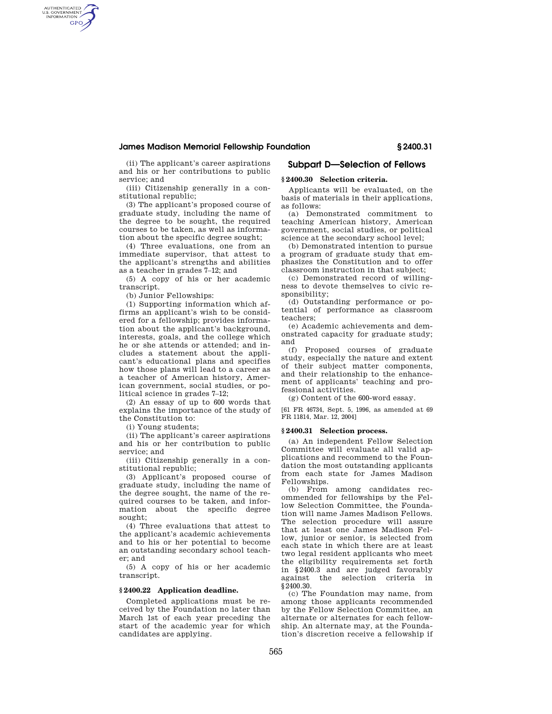## **James Madison Memorial Fellowship Foundation § 2400.31**

(ii) The applicant's career aspirations and his or her contributions to public service; and

AUTHENTICATED<br>U.S. GOVERNMENT<br>INFORMATION **GPO** 

> (iii) Citizenship generally in a constitutional republic;

(3) The applicant's proposed course of graduate study, including the name of the degree to be sought, the required courses to be taken, as well as information about the specific degree sought;

(4) Three evaluations, one from an immediate supervisor, that attest to the applicant's strengths and abilities as a teacher in grades 7–12; and

(5) A copy of his or her academic transcript.

(b) Junior Fellowships:

(1) Supporting information which affirms an applicant's wish to be considered for a fellowship; provides information about the applicant's background, interests, goals, and the college which he or she attends or attended; and includes a statement about the applicant's educational plans and specifies how those plans will lead to a career as a teacher of American history, American government, social studies, or political science in grades 7–12;

(2) An essay of up to 600 words that explains the importance of the study of the Constitution to:

(i) Young students;

(ii) The applicant's career aspirations and his or her contribution to public service; and

(iii) Citizenship generally in a constitutional republic;

(3) Applicant's proposed course of graduate study, including the name of the degree sought, the name of the required courses to be taken, and information about the specific degree sought:

(4) Three evaluations that attest to the applicant's academic achievements and to his or her potential to become an outstanding secondary school teacher; and

(5) A copy of his or her academic transcript.

#### **§ 2400.22 Application deadline.**

Completed applications must be received by the Foundation no later than March 1st of each year preceding the start of the academic year for which candidates are applying.

## **Subpart D—Selection of Fellows**

## **§ 2400.30 Selection criteria.**

Applicants will be evaluated, on the basis of materials in their applications, as follows:

(a) Demonstrated commitment to teaching American history, American government, social studies, or political science at the secondary school level;

(b) Demonstrated intention to pursue a program of graduate study that emphasizes the Constitution and to offer classroom instruction in that subject;

(c) Demonstrated record of willingness to devote themselves to civic responsibility;

(d) Outstanding performance or potential of performance as classroom teachers;

(e) Academic achievements and demonstrated capacity for graduate study; and

(f) Proposed courses of graduate study, especially the nature and extent of their subject matter components, and their relationship to the enhancement of applicants' teaching and professional activities.

(g) Content of the 600-word essay.

[61 FR 46734, Sept. 5, 1996, as amended at 69 FR 11814, Mar. 12, 2004]

#### **§ 2400.31 Selection process.**

(a) An independent Fellow Selection Committee will evaluate all valid applications and recommend to the Foundation the most outstanding applicants from each state for James Madison Fellowships.

(b) From among candidates recommended for fellowships by the Fellow Selection Committee, the Foundation will name James Madison Fellows. The selection procedure will assure that at least one James Madison Fellow, junior or senior, is selected from each state in which there are at least two legal resident applicants who meet the eligibility requirements set forth in §2400.3 and are judged favorably against the selection criteria in §2400.30.

(c) The Foundation may name, from among those applicants recommended by the Fellow Selection Committee, an alternate or alternates for each fellowship. An alternate may, at the Foundation's discretion receive a fellowship if